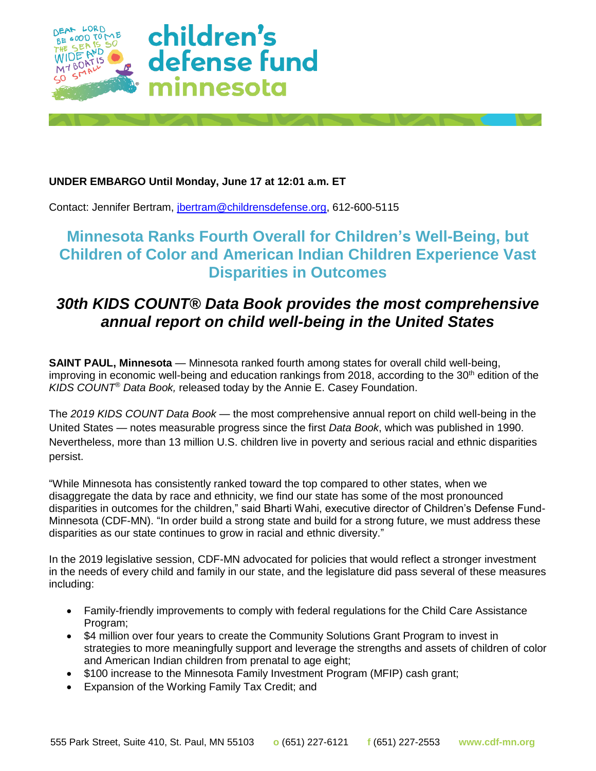

### **UNDER EMBARGO Until Monday, June 17 at 12:01 a.m. ET**

Contact: Jennifer Bertram, [jbertram@childrensdefense.org,](mailto:jbertram@childrensdefense.org) 612-600-5115

# **Minnesota Ranks Fourth Overall for Children's Well-Being, but Children of Color and American Indian Children Experience Vast Disparities in Outcomes**

# *30th KIDS COUNT® Data Book provides the most comprehensive annual report on child well-being in the United States*

**SAINT PAUL, Minnesota** — Minnesota ranked fourth among states for overall child well-being, improving in economic well-being and education rankings from 2018, according to the  $30<sup>th</sup>$  edition of the *KIDS COUNT® Data Book,* released today by the Annie E. Casey Foundation.

The *2019 KIDS COUNT Data Book* — the most comprehensive annual report on child well-being in the United States — notes measurable progress since the first *Data Book*, which was published in 1990. Nevertheless, more than 13 million U.S. children live in poverty and serious racial and ethnic disparities persist.

"While Minnesota has consistently ranked toward the top compared to other states, when we disaggregate the data by race and ethnicity, we find our state has some of the most pronounced disparities in outcomes for the children," said Bharti Wahi, executive director of Children's Defense Fund-Minnesota (CDF-MN). "In order build a strong state and build for a strong future, we must address these disparities as our state continues to grow in racial and ethnic diversity."

In the 2019 legislative session, CDF-MN advocated for policies that would reflect a stronger investment in the needs of every child and family in our state, and the legislature did pass several of these measures including:

- Family-friendly improvements to comply with federal regulations for the Child Care Assistance Program;
- \$4 million over four years to create the Community Solutions Grant Program to invest in strategies to more meaningfully support and leverage the strengths and assets of children of color and American Indian children from prenatal to age eight;
- \$100 increase to the Minnesota Family Investment Program (MFIP) cash grant;
- Expansion of the Working Family Tax Credit; and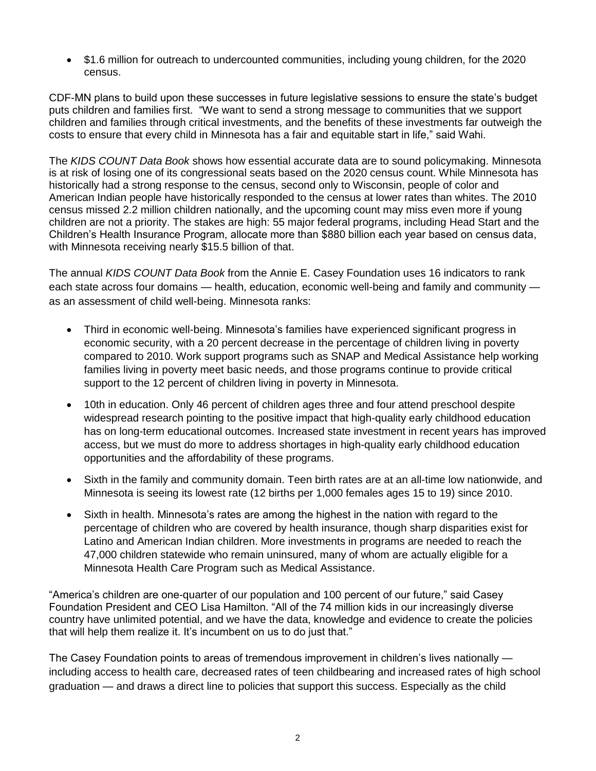• \$1.6 million for outreach to undercounted communities, including young children, for the 2020 census.

CDF-MN plans to build upon these successes in future legislative sessions to ensure the state's budget puts children and families first. "We want to send a strong message to communities that we support children and families through critical investments, and the benefits of these investments far outweigh the costs to ensure that every child in Minnesota has a fair and equitable start in life," said Wahi.

The *KIDS COUNT Data Book* shows how essential accurate data are to sound policymaking. Minnesota is at risk of losing one of its congressional seats based on the 2020 census count. While Minnesota has historically had a strong response to the census, second only to Wisconsin, people of color and American Indian people have historically responded to the census at lower rates than whites. The 2010 census missed 2.2 million children nationally, and the upcoming count may miss even more if young children are not a priority. The stakes are high: 55 major federal programs, including Head Start and the Children's Health Insurance Program, allocate more than \$880 billion each year based on census data, with Minnesota receiving nearly \$15.5 billion of that.

The annual *KIDS COUNT Data Book* from the Annie E. Casey Foundation uses 16 indicators to rank each state across four domains — health, education, economic well-being and family and community as an assessment of child well-being. Minnesota ranks:

- Third in economic well-being. Minnesota's families have experienced significant progress in economic security, with a 20 percent decrease in the percentage of children living in poverty compared to 2010. Work support programs such as SNAP and Medical Assistance help working families living in poverty meet basic needs, and those programs continue to provide critical support to the 12 percent of children living in poverty in Minnesota.
- 10th in education. Only 46 percent of children ages three and four attend preschool despite widespread research pointing to the positive impact that high-quality early childhood education has on long-term educational outcomes. Increased state investment in recent years has improved access, but we must do more to address shortages in high-quality early childhood education opportunities and the affordability of these programs.
- Sixth in the family and community domain. Teen birth rates are at an all-time low nationwide, and Minnesota is seeing its lowest rate (12 births per 1,000 females ages 15 to 19) since 2010.
- Sixth in health. Minnesota's rates are among the highest in the nation with regard to the percentage of children who are covered by health insurance, though sharp disparities exist for Latino and American Indian children. More investments in programs are needed to reach the 47,000 children statewide who remain uninsured, many of whom are actually eligible for a Minnesota Health Care Program such as Medical Assistance.

"America's children are one-quarter of our population and 100 percent of our future," said Casey Foundation President and CEO Lisa Hamilton. "All of the 74 million kids in our increasingly diverse country have unlimited potential, and we have the data, knowledge and evidence to create the policies that will help them realize it. It's incumbent on us to do just that."

The Casey Foundation points to areas of tremendous improvement in children's lives nationally including access to health care, decreased rates of teen childbearing and increased rates of high school graduation — and draws a direct line to policies that support this success. Especially as the child